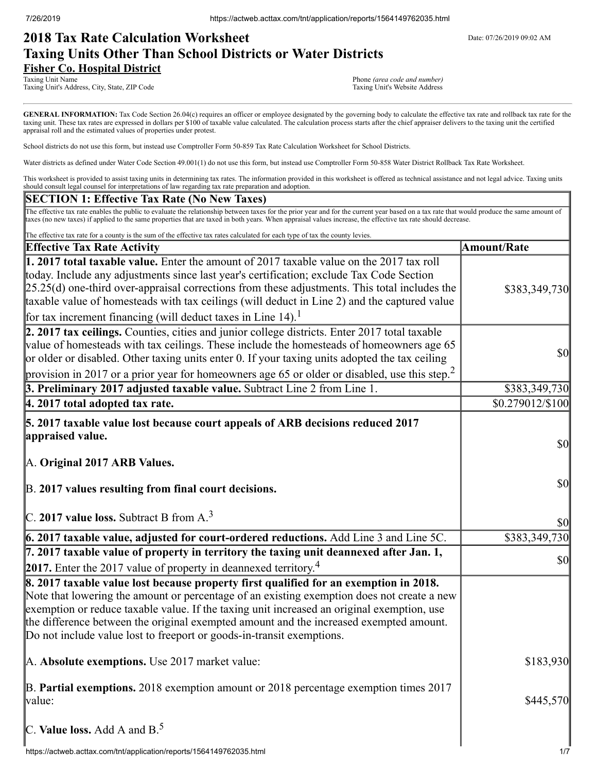# **2018 Tax Rate Calculation Worksheet** Determines the Date: 07/26/2019 09:02 AM **Taxing Units Other Than School Districts or Water Districts Fisher Co. Hospital District**

Taxing Unit Name Phone *(area code and number)*<br>Taxing Unit's Address, City, State, ZIP Code Phone *(area code and number)*<br>Taxing Unit's Website Address Taxing Unit's Address, City, State, ZIP Code

GENERAL INFORMATION: Tax Code Section 26.04(c) requires an officer or employee designated by the governing body to calculate the effective tax rate and rollback tax rate for the taxing unit. These tax rates are expressed in dollars per \$100 of taxable value calculated. The calculation process starts after the chief appraiser delivers to the taxing unit the certified appraisal roll and the estimated values of properties under protest.

School districts do not use this form, but instead use Comptroller Form 50-859 Tax Rate Calculation Worksheet for School Districts.

Water districts as defined under Water Code Section 49.001(1) do not use this form, but instead use Comptroller Form 50-858 Water District Rollback Tax Rate Worksheet.

This worksheet is provided to assist taxing units in determining tax rates. The information provided in this worksheet is offered as technical assistance and not legal advice. Taxing units should consult legal counsel for interpretations of law regarding tax rate preparation and adoption.

## **SECTION 1: Effective Tax Rate (No New Taxes)**

The effective tax rate enables the public to evaluate the relationship between taxes for the prior year and for the current year based on a tax rate that would produce the same amount of taxes (no new taxes) if applied to the same properties that are taxed in both years. When appraisal values increase, the effective tax rate should decrease.

| The effective tax rate for a county is the sum of the effective tax rates calculated for each type of tax the county levies.                                                                                                                                                                                                                                                                                                                                         |                                     |
|----------------------------------------------------------------------------------------------------------------------------------------------------------------------------------------------------------------------------------------------------------------------------------------------------------------------------------------------------------------------------------------------------------------------------------------------------------------------|-------------------------------------|
| <b>Effective Tax Rate Activity</b>                                                                                                                                                                                                                                                                                                                                                                                                                                   | <b>Amount/Rate</b>                  |
| 1. 2017 total taxable value. Enter the amount of 2017 taxable value on the 2017 tax roll<br>today. Include any adjustments since last year's certification; exclude Tax Code Section<br>$[25.25(d)$ one-third over-appraisal corrections from these adjustments. This total includes the<br>taxable value of homesteads with tax ceilings (will deduct in Line 2) and the captured value<br>for tax increment financing (will deduct taxes in Line 14). <sup>1</sup> | \$383,349,730                       |
| 2. 2017 tax ceilings. Counties, cities and junior college districts. Enter 2017 total taxable<br>value of homesteads with tax ceilings. These include the homesteads of homeowners age 65<br>or older or disabled. Other taxing units enter 0. If your taxing units adopted the tax ceiling<br>provision in 2017 or a prior year for homeowners age 65 or older or disabled, use this step. <sup>2</sup>                                                             | <b>\$0</b>                          |
| 3. Preliminary 2017 adjusted taxable value. Subtract Line 2 from Line 1.                                                                                                                                                                                                                                                                                                                                                                                             | \$383,349,730                       |
| 4. 2017 total adopted tax rate.                                                                                                                                                                                                                                                                                                                                                                                                                                      | \$0.279012/\$100                    |
| 5. 2017 taxable value lost because court appeals of ARB decisions reduced 2017<br>appraised value.<br>A. Original 2017 ARB Values.<br>B. 2017 values resulting from final court decisions.                                                                                                                                                                                                                                                                           | <b>\$0</b><br>$\frac{1}{2}$         |
| C. 2017 value loss. Subtract B from $A3$                                                                                                                                                                                                                                                                                                                                                                                                                             | <b>\$0</b>                          |
| 6. 2017 taxable value, adjusted for court-ordered reductions. Add Line 3 and Line 5C.                                                                                                                                                                                                                                                                                                                                                                                | \$383,349,730                       |
| 7. 2017 taxable value of property in territory the taxing unit deannexed after Jan. 1,<br>2017. Enter the 2017 value of property in deannexed territory. <sup>4</sup>                                                                                                                                                                                                                                                                                                | $\vert \mathbf{S} \mathbf{O} \vert$ |
| 8. 2017 taxable value lost because property first qualified for an exemption in 2018.<br>Note that lowering the amount or percentage of an existing exemption does not create a new<br>exemption or reduce taxable value. If the taxing unit increased an original exemption, use<br>the difference between the original exempted amount and the increased exempted amount.<br>Do not include value lost to freeport or goods-in-transit exemptions.                 |                                     |
| A. Absolute exemptions. Use 2017 market value:                                                                                                                                                                                                                                                                                                                                                                                                                       | \$183,930                           |
| B. Partial exemptions. 2018 exemption amount or 2018 percentage exemption times 2017<br>value:                                                                                                                                                                                                                                                                                                                                                                       | \$445,570                           |
| C. Value loss. Add A and $B^5$ .                                                                                                                                                                                                                                                                                                                                                                                                                                     |                                     |
| https://actweb.acttax.com/tnt/application/reports/1564149762035.html                                                                                                                                                                                                                                                                                                                                                                                                 | 1/7                                 |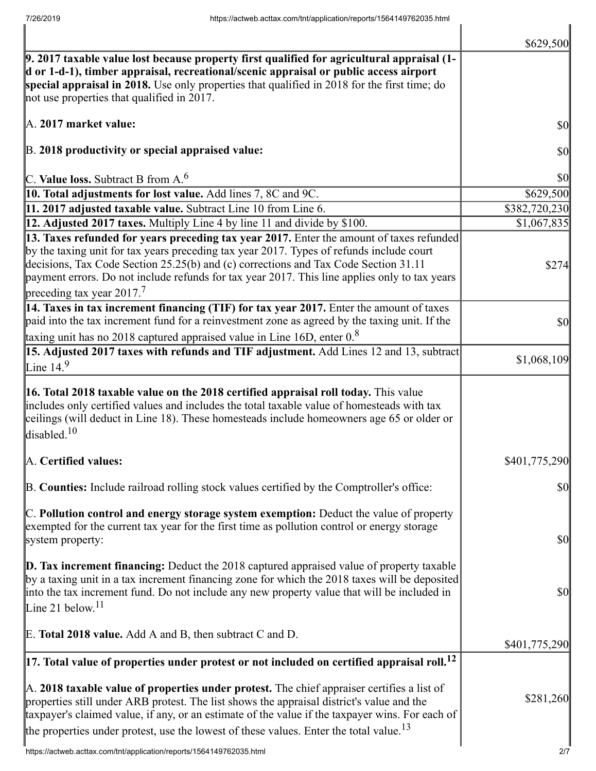|                                                                                                                                                                                                                                                                                                                                                                                                                       | \$629,500                           |
|-----------------------------------------------------------------------------------------------------------------------------------------------------------------------------------------------------------------------------------------------------------------------------------------------------------------------------------------------------------------------------------------------------------------------|-------------------------------------|
| 9. 2017 taxable value lost because property first qualified for agricultural appraisal (1-<br>d or 1-d-1), timber appraisal, recreational/scenic appraisal or public access airport<br>special appraisal in 2018. Use only properties that qualified in 2018 for the first time; do<br>not use properties that qualified in 2017.                                                                                     |                                     |
| A. 2017 market value:                                                                                                                                                                                                                                                                                                                                                                                                 | \$0                                 |
| B. 2018 productivity or special appraised value:                                                                                                                                                                                                                                                                                                                                                                      | \$0                                 |
| C. Value loss. Subtract B from $A6$                                                                                                                                                                                                                                                                                                                                                                                   | \$0                                 |
| 10. Total adjustments for lost value. Add lines 7, 8C and 9C.                                                                                                                                                                                                                                                                                                                                                         | \$629,500                           |
| 11. 2017 adjusted taxable value. Subtract Line 10 from Line 6.                                                                                                                                                                                                                                                                                                                                                        | \$382,720,230                       |
| 12. Adjusted 2017 taxes. Multiply Line 4 by line 11 and divide by \$100.                                                                                                                                                                                                                                                                                                                                              | \$1,067,835                         |
| 13. Taxes refunded for years preceding tax year 2017. Enter the amount of taxes refunded<br>by the taxing unit for tax years preceding tax year 2017. Types of refunds include court<br>decisions, Tax Code Section 25.25(b) and (c) corrections and Tax Code Section 31.11<br>payment errors. Do not include refunds for tax year 2017. This line applies only to tax years<br>preceding tax year 2017. <sup>7</sup> | \$274                               |
| 14. Taxes in tax increment financing (TIF) for tax year 2017. Enter the amount of taxes<br>paid into the tax increment fund for a reinvestment zone as agreed by the taxing unit. If the<br>taxing unit has no 2018 captured appraised value in Line 16D, enter $0.8$                                                                                                                                                 | \$0                                 |
| 15. Adjusted 2017 taxes with refunds and TIF adjustment. Add Lines 12 and 13, subtract                                                                                                                                                                                                                                                                                                                                |                                     |
| Line 14. $9$                                                                                                                                                                                                                                                                                                                                                                                                          | \$1,068,109                         |
| 16. Total 2018 taxable value on the 2018 certified appraisal roll today. This value<br>includes only certified values and includes the total taxable value of homesteads with tax<br>ceilings (will deduct in Line 18). These homesteads include homeowners age 65 or older or<br>disabled. <sup>10</sup>                                                                                                             |                                     |
| A. Certified values:                                                                                                                                                                                                                                                                                                                                                                                                  | \$401,775,290                       |
| B. Counties: Include railroad rolling stock values certified by the Comptroller's office:                                                                                                                                                                                                                                                                                                                             | \$0                                 |
| C. Pollution control and energy storage system exemption: Deduct the value of property<br>exempted for the current tax year for the first time as pollution control or energy storage<br>system property:                                                                                                                                                                                                             | $\vert \mathbf{S} \mathbf{O} \vert$ |
| $\mathbf{D}$ . Tax increment financing: Deduct the 2018 captured appraised value of property taxable<br>by a taxing unit in a tax increment financing zone for which the 2018 taxes will be deposited<br>into the tax increment fund. Do not include any new property value that will be included in<br>Line 21 below. $11$                                                                                           | \$0                                 |
| E. Total 2018 value. Add A and B, then subtract C and D.                                                                                                                                                                                                                                                                                                                                                              | \$401,775,290                       |
| $\left 17.\right.$ Total value of properties under protest or not included on certified appraisal roll. $^{12}$                                                                                                                                                                                                                                                                                                       |                                     |
| A. 2018 taxable value of properties under protest. The chief appraiser certifies a list of<br>properties still under ARB protest. The list shows the appraisal district's value and the<br>taxpayer's claimed value, if any, or an estimate of the value if the taxpayer wins. For each of<br>the properties under protest, use the lowest of these values. Enter the total value. <sup>13</sup>                      | \$281,260                           |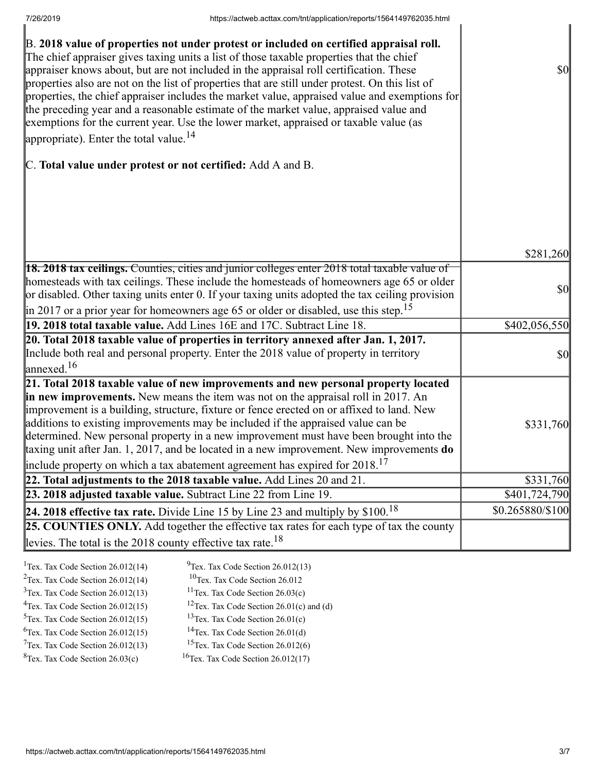| B. 2018 value of properties not under protest or included on certified appraisal roll.<br>The chief appraiser gives taxing units a list of those taxable properties that the chief<br>appraiser knows about, but are not included in the appraisal roll certification. These<br>properties also are not on the list of properties that are still under protest. On this list of<br>properties, the chief appraiser includes the market value, appraised value and exemptions for<br>the preceding year and a reasonable estimate of the market value, appraised value and<br>exemptions for the current year. Use the lower market, appraised or taxable value (as<br>appropriate). Enter the total value. $^{14}$ | \$0              |
|--------------------------------------------------------------------------------------------------------------------------------------------------------------------------------------------------------------------------------------------------------------------------------------------------------------------------------------------------------------------------------------------------------------------------------------------------------------------------------------------------------------------------------------------------------------------------------------------------------------------------------------------------------------------------------------------------------------------|------------------|
| C. Total value under protest or not certified: Add A and B.                                                                                                                                                                                                                                                                                                                                                                                                                                                                                                                                                                                                                                                        |                  |
|                                                                                                                                                                                                                                                                                                                                                                                                                                                                                                                                                                                                                                                                                                                    |                  |
|                                                                                                                                                                                                                                                                                                                                                                                                                                                                                                                                                                                                                                                                                                                    | \$281,260        |
| <b>18. 2018 tax ceilings.</b> Counties, cities and junior colleges enter 2018 total taxable value of<br>homesteads with tax ceilings. These include the homesteads of homeowners age 65 or older<br>or disabled. Other taxing units enter 0. If your taxing units adopted the tax ceiling provision<br>$\parallel$ in 2017 or a prior year for homeowners age 65 or older or disabled, use this step. <sup>15</sup>                                                                                                                                                                                                                                                                                                | \$0              |
| 19. 2018 total taxable value. Add Lines 16E and 17C. Subtract Line 18.                                                                                                                                                                                                                                                                                                                                                                                                                                                                                                                                                                                                                                             | \$402,056,550    |
| 20. Total 2018 taxable value of properties in territory annexed after Jan. 1, 2017.                                                                                                                                                                                                                                                                                                                                                                                                                                                                                                                                                                                                                                |                  |
| Include both real and personal property. Enter the 2018 value of property in territory<br>$\lvert$ annexed. <sup>16</sup>                                                                                                                                                                                                                                                                                                                                                                                                                                                                                                                                                                                          | $ 10\rangle$     |
| 21. Total 2018 taxable value of new improvements and new personal property located<br>in new improvements. New means the item was not on the appraisal roll in 2017. An<br>improvement is a building, structure, fixture or fence erected on or affixed to land. New<br>additions to existing improvements may be included if the appraised value can be<br>determined. New personal property in a new improvement must have been brought into the<br>taxing unit after Jan. 1, 2017, and be located in a new improvement. New improvements <b>do</b><br>include property on which a tax abatement agreement has expired for $2018$ . <sup>17</sup>                                                                | \$331,760        |
| 22. Total adjustments to the 2018 taxable value. Add Lines 20 and 21.                                                                                                                                                                                                                                                                                                                                                                                                                                                                                                                                                                                                                                              | \$331,760        |
| 23. 2018 adjusted taxable value. Subtract Line 22 from Line 19.                                                                                                                                                                                                                                                                                                                                                                                                                                                                                                                                                                                                                                                    | \$401,724,790    |
| 24. 2018 effective tax rate. Divide Line 15 by Line 23 and multiply by $$100.18$                                                                                                                                                                                                                                                                                                                                                                                                                                                                                                                                                                                                                                   | \$0.265880/\$100 |
| 25. COUNTIES ONLY. Add together the effective tax rates for each type of tax the county<br>levies. The total is the 2018 county effective tax rate. <sup>18</sup>                                                                                                                                                                                                                                                                                                                                                                                                                                                                                                                                                  |                  |
|                                                                                                                                                                                                                                                                                                                                                                                                                                                                                                                                                                                                                                                                                                                    |                  |

| <sup>1</sup> Tex. Tax Code Section $26.012(14)$ | $^{9}$ Tex. Tax Code Section 26.012(13)                |
|-------------------------------------------------|--------------------------------------------------------|
| $2$ Tex. Tax Code Section 26.012(14)            | $10$ Tex. Tax Code Section 26.012                      |
| $3$ Tex. Tax Code Section 26.012(13)            | <sup>11</sup> Tex. Tax Code Section $26.03(c)$         |
| $4$ Tex. Tax Code Section 26.012(15)            | <sup>12</sup> Tex. Tax Code Section $26.01(c)$ and (d) |
| $5$ Tex. Tax Code Section 26.012(15)            | <sup>13</sup> Tex. Tax Code Section $26.01(c)$         |
| ${}^{6}$ Tex. Tax Code Section 26.012(15)       | <sup>14</sup> Tex. Tax Code Section $26.01(d)$         |
| $7$ Tex. Tax Code Section 26.012(13)            | <sup>15</sup> Tex. Tax Code Section $26.012(6)$        |
| ${}^{8}$ Tex. Tax Code Section 26.03(c)         | <sup>16</sup> Tex. Tax Code Section $26.012(17)$       |
|                                                 |                                                        |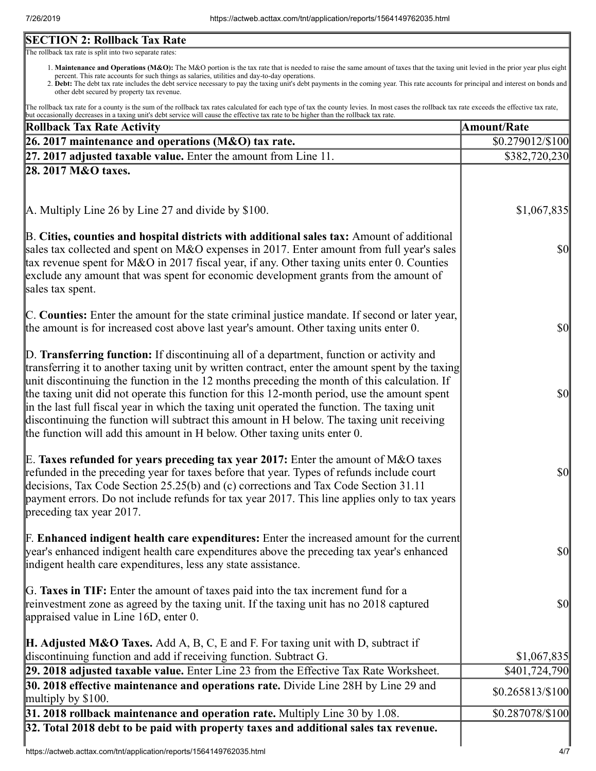# **SECTION 2: Rollback Tax Rate**

The rollback tax rate is split into two separate rates:

- 1. Maintenance and Operations (M&O): The M&O portion is the tax rate that is needed to raise the same amount of taxes that the taxing unit levied in the prior year plus eight percent. This rate accounts for such things as salaries, utilities and day-to-day operations.
- 2. Debt: The debt tax rate includes the debt service necessary to pay the taxing unit's debt payments in the coming year. This rate accounts for principal and interest on bonds and other debt secured by property tax revenue.

The rollback tax rate for a county is the sum of the rollback tax rates calculated for each type of tax the county levies. In most cases the rollback tax rate exceeds the effective tax rate, but occasionally decreases in a taxing unit's debt service will cause the effective tax rate to be higher than the rollback tax rate.

| Rollback Tax Rate Activity                                                                                                                                                                                                                                                                                                                                                                                                                                                                                                                                                                                                                                              | <b>Amount/Rate</b>           |
|-------------------------------------------------------------------------------------------------------------------------------------------------------------------------------------------------------------------------------------------------------------------------------------------------------------------------------------------------------------------------------------------------------------------------------------------------------------------------------------------------------------------------------------------------------------------------------------------------------------------------------------------------------------------------|------------------------------|
| 26. 2017 maintenance and operations (M&O) tax rate.                                                                                                                                                                                                                                                                                                                                                                                                                                                                                                                                                                                                                     | $$0.279012\allowbreak/\$100$ |
| $[27. 2017]$ adjusted taxable value. Enter the amount from Line 11.                                                                                                                                                                                                                                                                                                                                                                                                                                                                                                                                                                                                     | \$382,720,230                |
| 28. 2017 M&O taxes.                                                                                                                                                                                                                                                                                                                                                                                                                                                                                                                                                                                                                                                     |                              |
|                                                                                                                                                                                                                                                                                                                                                                                                                                                                                                                                                                                                                                                                         |                              |
| A. Multiply Line 26 by Line 27 and divide by \$100.                                                                                                                                                                                                                                                                                                                                                                                                                                                                                                                                                                                                                     | \$1,067,835                  |
| B. Cities, counties and hospital districts with additional sales tax: Amount of additional<br>sales tax collected and spent on M&O expenses in 2017. Enter amount from full year's sales<br>tax revenue spent for M&O in 2017 fiscal year, if any. Other taxing units enter 0. Counties<br>exclude any amount that was spent for economic development grants from the amount of<br>sales tax spent.                                                                                                                                                                                                                                                                     | $\frac{1}{2}$                |
| C. Counties: Enter the amount for the state criminal justice mandate. If second or later year,<br>the amount is for increased cost above last year's amount. Other taxing units enter 0.                                                                                                                                                                                                                                                                                                                                                                                                                                                                                | $\frac{1}{2}$                |
| D. Transferring function: If discontinuing all of a department, function or activity and<br>transferring it to another taxing unit by written contract, enter the amount spent by the taxing<br>unit discontinuing the function in the 12 months preceding the month of this calculation. If<br>the taxing unit did not operate this function for this 12-month period, use the amount spent<br>in the last full fiscal year in which the taxing unit operated the function. The taxing unit<br>discontinuing the function will subtract this amount in H below. The taxing unit receiving<br>the function will add this amount in H below. Other taxing units enter 0. | $\frac{1}{2}$                |
| E. Taxes refunded for years preceding tax year 2017: Enter the amount of M&O taxes<br>refunded in the preceding year for taxes before that year. Types of refunds include court<br>decisions, Tax Code Section 25.25(b) and (c) corrections and Tax Code Section 31.11<br>payment errors. Do not include refunds for tax year 2017. This line applies only to tax years<br>preceding tax year 2017.                                                                                                                                                                                                                                                                     | $\frac{1}{2}$                |
| <b>F. Enhanced indigent health care expenditures:</b> Enter the increased amount for the current<br>year's enhanced indigent health care expenditures above the preceding tax year's enhanced<br>indigent health care expenditures, less any state assistance.                                                                                                                                                                                                                                                                                                                                                                                                          | $\frac{1}{2}$                |
| G. Taxes in TIF: Enter the amount of taxes paid into the tax increment fund for a<br>reinvestment zone as agreed by the taxing unit. If the taxing unit has no 2018 captured<br>appraised value in Line $16D$ , enter 0.                                                                                                                                                                                                                                                                                                                                                                                                                                                | <b>\$0</b>                   |
| <b>H. Adjusted M&amp;O Taxes.</b> Add A, B, C, E and F. For taxing unit with D, subtract if<br>discontinuing function and add if receiving function. Subtract G.                                                                                                                                                                                                                                                                                                                                                                                                                                                                                                        | \$1,067,835                  |
| 29. 2018 adjusted taxable value. Enter Line 23 from the Effective Tax Rate Worksheet.                                                                                                                                                                                                                                                                                                                                                                                                                                                                                                                                                                                   | \$401,724,790                |
| 30. 2018 effective maintenance and operations rate. Divide Line 28H by Line 29 and<br>multiply by $$100$ .                                                                                                                                                                                                                                                                                                                                                                                                                                                                                                                                                              | $$0.265813\%100$             |
| 31. 2018 rollback maintenance and operation rate. Multiply Line 30 by 1.08.                                                                                                                                                                                                                                                                                                                                                                                                                                                                                                                                                                                             | \$0.287078/\$100             |
| 32. Total 2018 debt to be paid with property taxes and additional sales tax revenue.                                                                                                                                                                                                                                                                                                                                                                                                                                                                                                                                                                                    |                              |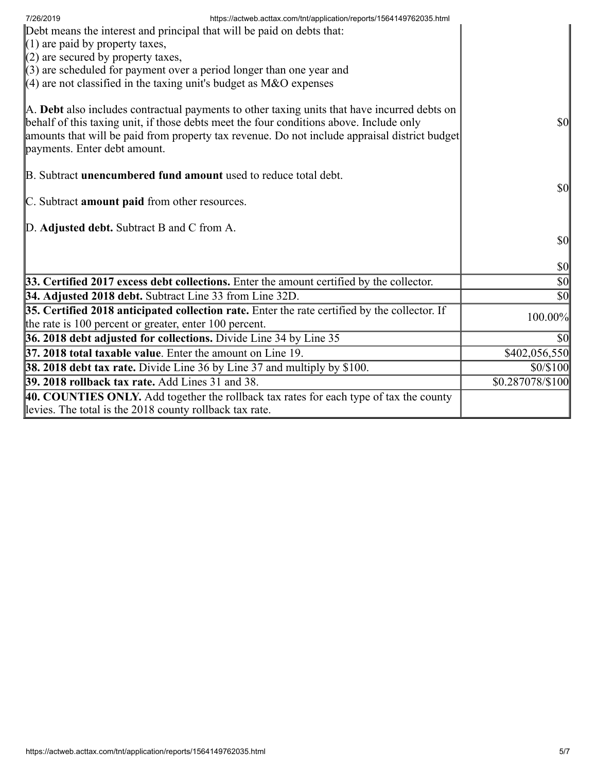| https://actweb.acttax.com/tnt/application/reports/1564149762035.html<br>7/26/2019<br>Debt means the interest and principal that will be paid on debts that:<br>$(1)$ are paid by property taxes,<br>$(2)$ are secured by property taxes,<br>$\langle 3 \rangle$ are scheduled for payment over a period longer than one year and |                                     |
|----------------------------------------------------------------------------------------------------------------------------------------------------------------------------------------------------------------------------------------------------------------------------------------------------------------------------------|-------------------------------------|
| $(4)$ are not classified in the taxing unit's budget as M&O expenses                                                                                                                                                                                                                                                             |                                     |
| A. Debt also includes contractual payments to other taxing units that have incurred debts on<br>behalf of this taxing unit, if those debts meet the four conditions above. Include only<br>amounts that will be paid from property tax revenue. Do not include appraisal district budget<br>payments. Enter debt amount.         | <b>\$0</b>                          |
| B. Subtract <b>unencumbered fund amount</b> used to reduce total debt.                                                                                                                                                                                                                                                           |                                     |
| C. Subtract amount paid from other resources.                                                                                                                                                                                                                                                                                    | $\vert \mathbf{S} \mathbf{0} \vert$ |
| D. Adjusted debt. Subtract B and C from A.                                                                                                                                                                                                                                                                                       | \$0                                 |
|                                                                                                                                                                                                                                                                                                                                  | $\vert \$\text{0}\vert$             |
| 33. Certified 2017 excess debt collections. Enter the amount certified by the collector.                                                                                                                                                                                                                                         | $ 10\rangle$                        |
| <b>34. Adjusted 2018 debt.</b> Subtract Line 33 from Line 32D.                                                                                                                                                                                                                                                                   | $ 10\rangle$                        |
| 35. Certified 2018 anticipated collection rate. Enter the rate certified by the collector. If<br>the rate is 100 percent or greater, enter 100 percent.                                                                                                                                                                          | 100.00%                             |
| 36. 2018 debt adjusted for collections. Divide Line 34 by Line 35                                                                                                                                                                                                                                                                | \$0                                 |
| 37. 2018 total taxable value. Enter the amount on Line 19.                                                                                                                                                                                                                                                                       | \$402,056,550                       |
| [38. 2018 debt tax rate. Divide Line 36 by Line 37 and multiply by \$100.                                                                                                                                                                                                                                                        | \$0/\$100                           |
| <b>39. 2018 rollback tax rate.</b> Add Lines 31 and 38.                                                                                                                                                                                                                                                                          | \$0.287078/\$100                    |
| 40. COUNTIES ONLY. Add together the rollback tax rates for each type of tax the county<br>levies. The total is the 2018 county rollback tax rate.                                                                                                                                                                                |                                     |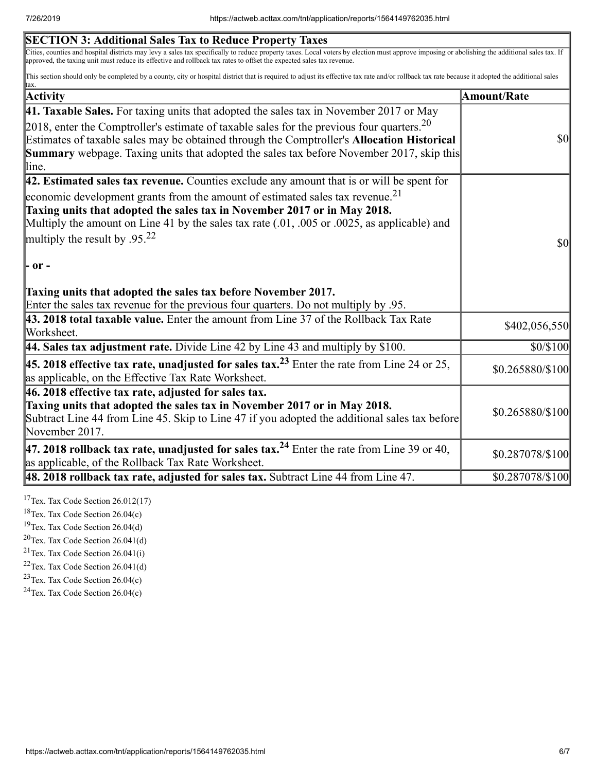| <b>SECTION 3: Additional Sales Tax to Reduce Property Taxes</b>                                                                                                                                                                                                                                                                                                                                                                                                                             |                  |
|---------------------------------------------------------------------------------------------------------------------------------------------------------------------------------------------------------------------------------------------------------------------------------------------------------------------------------------------------------------------------------------------------------------------------------------------------------------------------------------------|------------------|
| Cities, counties and hospital districts may levy a sales tax specifically to reduce property taxes. Local voters by election must approve imposing or abolishing the additional sales tax. If<br>approved, the taxing unit must reduce its effective and rollback tax rates to offset the expected sales tax revenue.                                                                                                                                                                       |                  |
| This section should only be completed by a county, city or hospital district that is required to adjust its effective tax rate and/or rollback tax rate because it adopted the additional sales<br>tax.                                                                                                                                                                                                                                                                                     |                  |
| <b>Activity</b>                                                                                                                                                                                                                                                                                                                                                                                                                                                                             | Amount/Rate      |
| <b>41. Taxable Sales.</b> For taxing units that adopted the sales tax in November 2017 or May                                                                                                                                                                                                                                                                                                                                                                                               |                  |
| 2018, enter the Comptroller's estimate of taxable sales for the previous four quarters. $20$<br>Estimates of taxable sales may be obtained through the Comptroller's Allocation Historical<br>Summary webpage. Taxing units that adopted the sales tax before November 2017, skip this<br>line.                                                                                                                                                                                             | $\frac{1}{2}$    |
| 42. Estimated sales tax revenue. Counties exclude any amount that is or will be spent for                                                                                                                                                                                                                                                                                                                                                                                                   |                  |
| economic development grants from the amount of estimated sales tax revenue. <sup>21</sup><br>Taxing units that adopted the sales tax in November 2017 or in May 2018.<br>Multiply the amount on Line 41 by the sales tax rate $(.01, .005)$ or $.0025$ , as applicable) and<br>multiply the result by .95. <sup>22</sup><br> - or -<br>Taxing units that adopted the sales tax before November 2017.<br>Enter the sales tax revenue for the previous four quarters. Do not multiply by .95. | \$0              |
| 43. 2018 total taxable value. Enter the amount from Line 37 of the Rollback Tax Rate<br>Worksheet.                                                                                                                                                                                                                                                                                                                                                                                          | \$402,056,550    |
| 44. Sales tax adjustment rate. Divide Line 42 by Line 43 and multiply by $$100$ .                                                                                                                                                                                                                                                                                                                                                                                                           | \$0/\$100        |
| 45. 2018 effective tax rate, unadjusted for sales tax. <sup>23</sup> Enter the rate from Line 24 or 25,<br>as applicable, on the Effective Tax Rate Worksheet.                                                                                                                                                                                                                                                                                                                              | \$0.265880/\$100 |
| $ 46.2018$ effective tax rate, adjusted for sales tax.<br>Taxing units that adopted the sales tax in November 2017 or in May 2018.<br>Subtract Line 44 from Line 45. Skip to Line 47 if you adopted the additional sales tax before<br>November 2017.                                                                                                                                                                                                                                       | \$0.265880/\$100 |
| 47. 2018 rollback tax rate, unadjusted for sales tax. <sup>24</sup> Enter the rate from Line 39 or 40,<br>as applicable, of the Rollback Tax Rate Worksheet.                                                                                                                                                                                                                                                                                                                                | \$0.287078/\$100 |
| $\vert$ 48. 2018 rollback tax rate, adjusted for sales tax. Subtract Line 44 from Line 47.                                                                                                                                                                                                                                                                                                                                                                                                  | \$0.287078/\$100 |

<sup>17</sup>Tex. Tax Code Section  $26.012(17)$ 

<sup>18</sup>Tex. Tax Code Section 26.04(c)

<sup>19</sup>Tex. Tax Code Section  $26.04(d)$ 

 $20$ Tex. Tax Code Section 26.041(d)

<sup>21</sup>Tex. Tax Code Section  $26.041(i)$ 

 $22$ Tex. Tax Code Section 26.041(d)

<sup>23</sup>Tex. Tax Code Section  $26.04(c)$ 

 $24$ Tex. Tax Code Section 26.04(c)